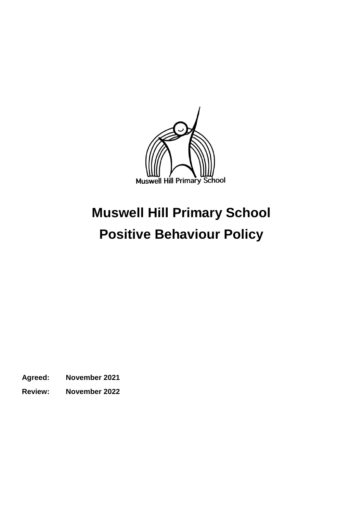

# **Muswell Hill Primary School Positive Behaviour Policy**

**Agreed: November 2021**

**Review: November 2022**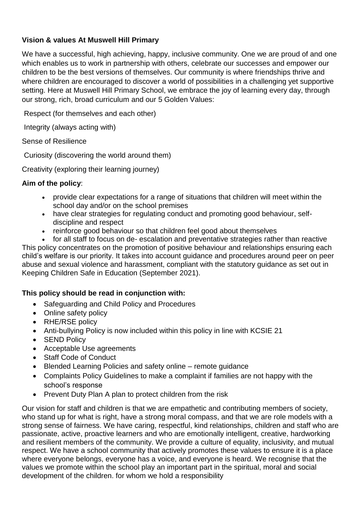### **Vision & values At Muswell Hill Primary**

We have a successful, high achieving, happy, inclusive community. One we are proud of and one which enables us to work in partnership with others, celebrate our successes and empower our children to be the best versions of themselves. Our community is where friendships thrive and where children are encouraged to discover a world of possibilities in a challenging yet supportive setting. Here at Muswell Hill Primary School, we embrace the joy of learning every day, through our strong, rich, broad curriculum and our 5 Golden Values:

Respect (for themselves and each other)

Integrity (always acting with)

Sense of Resilience

Curiosity (discovering the world around them)

Creativity (exploring their learning journey)

### **Aim of the policy**:

- provide clear expectations for a range of situations that children will meet within the school day and/or on the school premises
- have clear strategies for regulating conduct and promoting good behaviour, selfdiscipline and respect
- reinforce good behaviour so that children feel good about themselves
- for all staff to focus on de- escalation and preventative strategies rather than reactive

This policy concentrates on the promotion of positive behaviour and relationships ensuring each child's welfare is our priority. It takes into account guidance and procedures around peer on peer abuse and sexual violence and harassment, compliant with the statutory guidance as set out in Keeping Children Safe in Education (September 2021).

### **This policy should be read in conjunction with:**

- Safeguarding and Child Policy and Procedures
- Online safety policy
- RHE/RSE policy
- Anti-bullying Policy is now included within this policy in line with KCSIE 21
- SEND Policy
- Acceptable Use agreements
- Staff Code of Conduct
- Blended Learning Policies and safety online remote guidance
- Complaints Policy Guidelines to make a complaint if families are not happy with the school's response
- Prevent Duty Plan A plan to protect children from the risk

Our vision for staff and children is that we are empathetic and contributing members of society, who stand up for what is right, have a strong moral compass, and that we are role models with a strong sense of fairness. We have caring, respectful, kind relationships, children and staff who are passionate, active, proactive learners and who are emotionally intelligent, creative, hardworking and resilient members of the community. We provide a culture of equality, inclusivity, and mutual respect. We have a school community that actively promotes these values to ensure it is a place where everyone belongs, everyone has a voice, and everyone is heard. We recognise that the values we promote within the school play an important part in the spiritual, moral and social development of the children. for whom we hold a responsibility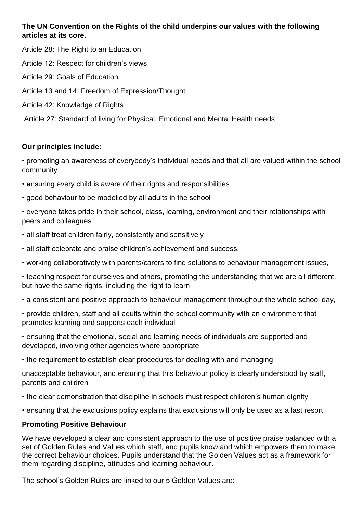### **The UN Convention on the Rights of the child underpins our values with the following articles at its core.**

Article 28: The Right to an Education

Article 12: Respect for children's views

- Article 29: Goals of Education
- Article 13 and 14: Freedom of Expression/Thought
- Article 42: Knowledge of Rights

Article 27: Standard of living for Physical, Emotional and Mental Health needs

### **Our principles include:**

• promoting an awareness of everybody's individual needs and that all are valued within the school community

- ensuring every child is aware of their rights and responsibilities
- good behaviour to be modelled by all adults in the school

• everyone takes pride in their school, class, learning, environment and their relationships with peers and colleagues

- all staff treat children fairly, consistently and sensitively
- all staff celebrate and praise children's achievement and success,
- working collaboratively with parents/carers to find solutions to behaviour management issues,
- teaching respect for ourselves and others, promoting the understanding that we are all different, but have the same rights, including the right to learn
- a consistent and positive approach to behaviour management throughout the whole school day,
- provide children, staff and all adults within the school community with an environment that promotes learning and supports each individual
- ensuring that the emotional, social and learning needs of individuals are supported and developed, involving other agencies where appropriate
- the requirement to establish clear procedures for dealing with and managing

unacceptable behaviour, and ensuring that this behaviour policy is clearly understood by staff, parents and children

- the clear demonstration that discipline in schools must respect children's human dignity
- ensuring that the exclusions policy explains that exclusions will only be used as a last resort.

#### **Promoting Positive Behaviour**

We have developed a clear and consistent approach to the use of positive praise balanced with a set of Golden Rules and Values which staff, and pupils know and which empowers them to make the correct behaviour choices. Pupils understand that the Golden Values act as a framework for them regarding discipline, attitudes and learning behaviour.

The school's Golden Rules are linked to our 5 Golden Values are: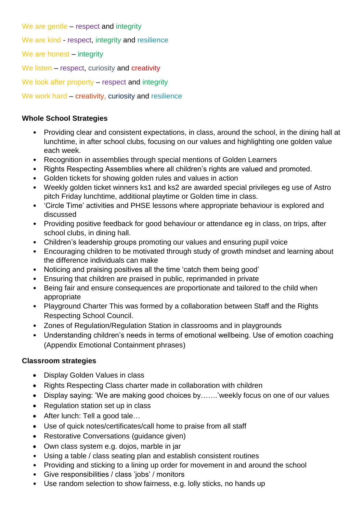We are gentle – respect and integrity

We are kind - respect, integrity and resilience

We are honest – integrity

We listen – respect, curiosity and creativity

We look after property – respect and integrity

We work hard – creativity, curiosity and resilience

### **Whole School Strategies**

- Providing clear and consistent expectations, in class, around the school, in the dining hall at lunchtime, in after school clubs, focusing on our values and highlighting one golden value each week.
- Recognition in assemblies through special mentions of Golden Learners
- Rights Respecting Assemblies where all children's rights are valued and promoted.
- Golden tickets for showing golden rules and values in action
- Weekly golden ticket winners ks1 and ks2 are awarded special privileges eg use of Astro pitch Friday lunchtime, additional playtime or Golden time in class.
- 'Circle Time' activities and PHSE lessons where appropriate behaviour is explored and discussed
- Providing positive feedback for good behaviour or attendance eg in class, on trips, after school clubs, in dining hall.
- Children's leadership groups promoting our values and ensuring pupil voice
- Encouraging children to be motivated through study of growth mindset and learning about the difference individuals can make
- Noticing and praising positives all the time 'catch them being good'
- Ensuring that children are praised in public, reprimanded in private
- Being fair and ensure consequences are proportionate and tailored to the child when appropriate
- Playground Charter This was formed by a collaboration between Staff and the Rights Respecting School Council.
- Zones of Regulation/Regulation Station in classrooms and in playgrounds
- Understanding children's needs in terms of emotional wellbeing. Use of emotion coaching (Appendix Emotional Containment phrases)

### **Classroom strategies**

- Display Golden Values in class
- Rights Respecting Class charter made in collaboration with children
- Display saying: 'We are making good choices by…….'weekly focus on one of our values
- Regulation station set up in class
- After lunch: Tell a good tale...
- Use of quick notes/certificates/call home to praise from all staff
- Restorative Conversations (quidance given)
- Own class system e.g. dojos, marble in jar
- Using a table / class seating plan and establish consistent routines
- Providing and sticking to a lining up order for movement in and around the school
- Give responsibilities / class 'jobs' / monitors
- Use random selection to show fairness, e.g. lolly sticks, no hands up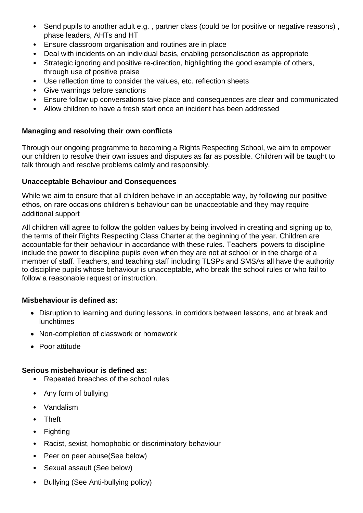- Send pupils to another adult e.g. , partner class (could be for positive or negative reasons) , phase leaders, AHTs and HT
- Ensure classroom organisation and routines are in place
- Deal with incidents on an individual basis, enabling personalisation as appropriate
- Strategic ignoring and positive re-direction, highlighting the good example of others, through use of positive praise
- Use reflection time to consider the values, etc. reflection sheets
- Give warnings before sanctions
- Ensure follow up conversations take place and consequences are clear and communicated
- Allow children to have a fresh start once an incident has been addressed

### **Managing and resolving their own conflicts**

Through our ongoing programme to becoming a Rights Respecting School, we aim to empower our children to resolve their own issues and disputes as far as possible. Children will be taught to talk through and resolve problems calmly and responsibly.

### **Unacceptable Behaviour and Consequences**

While we aim to ensure that all children behave in an acceptable way, by following our positive ethos, on rare occasions children's behaviour can be unacceptable and they may require additional support

All children will agree to follow the golden values by being involved in creating and signing up to, the terms of their Rights Respecting Class Charter at the beginning of the year. Children are accountable for their behaviour in accordance with these rules. Teachers' powers to discipline include the power to discipline pupils even when they are not at school or in the charge of a member of staff. Teachers, and teaching staff including TLSPs and SMSAs all have the authority to discipline pupils whose behaviour is unacceptable, who break the school rules or who fail to follow a reasonable request or instruction.

### **Misbehaviour is defined as:**

- Disruption to learning and during lessons, in corridors between lessons, and at break and lunchtimes
- Non-completion of classwork or homework
- Poor attitude

### **Serious misbehaviour is defined as:**

- Repeated breaches of the school rules
- Any form of bullying
- Vandalism
- Theft
- Fighting
- Racist, sexist, homophobic or discriminatory behaviour
- Peer on peer abuse(See below)
- Sexual assault (See below)
- Bullying (See Anti-bullying policy)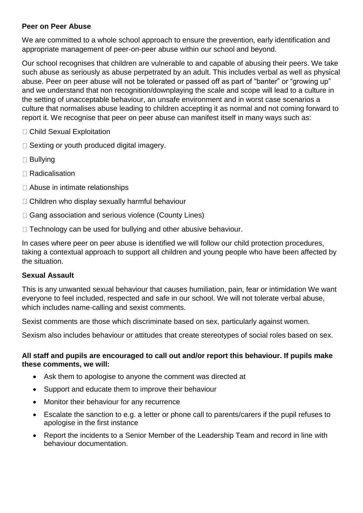### **Peer on Peer Abuse**

We are committed to a whole school approach to ensure the prevention, early identification and appropriate management of peer-on-peer abuse within our school and beyond.

Our school recognises that children are vulnerable to and capable of abusing their peers. We take such abuse as seriously as abuse perpetrated by an adult. This includes verbal as well as physical abuse. Peer on peer abuse will not be tolerated or passed off as part of "banter" or "growing up" and we understand that non recognition/downplaying the scale and scope will lead to a culture in the setting of unacceptable behaviour, an unsafe environment and in worst case scenarios a culture that normalises abuse leading to children accepting it as normal and not coming forward to report it. We recognise that peer on peer abuse can manifest itself in many ways such as:

- □ Child Sexual Exploitation
- $\Box$  Sexting or youth produced digital imagery.
- **□ Bullying**
- □ Radicalisation
- □ Abuse in intimate relationships
- $\Box$  Children who display sexually harmful behaviour
- □ Gang association and serious violence (County Lines)
- $\Box$  Technology can be used for bullying and other abusive behaviour.

In cases where peer on peer abuse is identified we will follow our child protection procedures, taking a contextual approach to support all children and young people who have been affected by the situation.

#### **Sexual Assault**

This is any unwanted sexual behaviour that causes humiliation, pain, fear or intimidation We want everyone to feel included, respected and safe in our school. We will not tolerate verbal abuse, which includes name-calling and sexist comments.

Sexist comments are those which discriminate based on sex, particularly against women.

Sexism also includes behaviour or attitudes that create stereotypes of social roles based on sex.

#### **All staff and pupils are encouraged to call out and/or report this behaviour. If pupils make these comments, we will:**

- Ask them to apologise to anyone the comment was directed at
- Support and educate them to improve their behaviour
- Monitor their behaviour for any recurrence
- Escalate the sanction to e.g. a letter or phone call to parents/carers if the pupil refuses to apologise in the first instance
- Report the incidents to a Senior Member of the Leadership Team and record in line with behaviour documentation.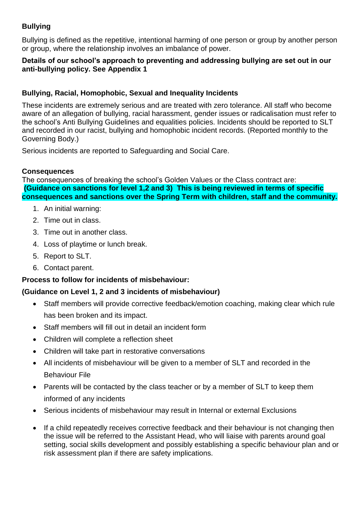### **Bullying**

Bullying is defined as the repetitive, intentional harming of one person or group by another person or group, where the relationship involves an imbalance of power.

### **Details of our school's approach to preventing and addressing bullying are set out in our anti-bullying policy. See Appendix 1**

### **Bullying, Racial, Homophobic, Sexual and Inequality Incidents**

These incidents are extremely serious and are treated with zero tolerance. All staff who become aware of an allegation of bullying, racial harassment, gender issues or radicalisation must refer to the school's Anti Bullying Guidelines and equalities policies. Incidents should be reported to SLT and recorded in our racist, bullying and homophobic incident records. (Reported monthly to the Governing Body.)

Serious incidents are reported to Safeguarding and Social Care.

### **Consequences**

The consequences of breaking the school's Golden Values or the Class contract are: **(Guidance on sanctions for level 1,2 and 3) This is being reviewed in terms of specific consequences and sanctions over the Spring Term with children, staff and the community.**

- 1. An initial warning:
- 2. Time out in class.
- 3. Time out in another class.
- 4. Loss of playtime or lunch break.
- 5. Report to SLT.
- 6. Contact parent.

### **Process to follow for incidents of misbehaviour:**

### **(Guidance on Level 1, 2 and 3 incidents of misbehaviour)**

- Staff members will provide corrective feedback/emotion coaching, making clear which rule has been broken and its impact.
- Staff members will fill out in detail an incident form
- Children will complete a reflection sheet
- Children will take part in restorative conversations
- All incidents of misbehaviour will be given to a member of SLT and recorded in the Behaviour File
- Parents will be contacted by the class teacher or by a member of SLT to keep them informed of any incidents
- Serious incidents of misbehaviour may result in Internal or external Exclusions
- If a child repeatedly receives corrective feedback and their behaviour is not changing then the issue will be referred to the Assistant Head, who will liaise with parents around goal setting, social skills development and possibly establishing a specific behaviour plan and or risk assessment plan if there are safety implications.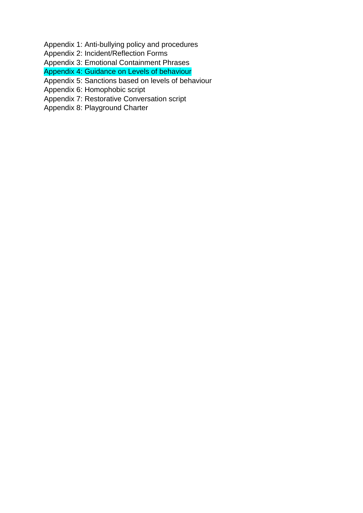Appendix 1: Anti-bullying policy and procedures

Appendix 2: Incident/Reflection Forms

Appendix 3: Emotional Containment Phrases

Appendix 4: Guidance on Levels of behaviour

Appendix 5: Sanctions based on levels of behaviour

Appendix 6: Homophobic script

Appendix 7: Restorative Conversation script

Appendix 8: Playground Charter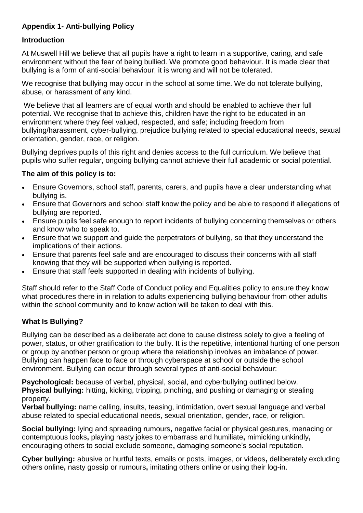### **Appendix 1- Anti-bullying Policy**

### **Introduction**

At Muswell Hill we believe that all pupils have a right to learn in a supportive, caring, and safe environment without the fear of being bullied. We promote good behaviour. It is made clear that bullying is a form of anti-social behaviour; it is wrong and will not be tolerated.

We recognise that bullying may occur in the school at some time. We do not tolerate bullying, abuse, or harassment of any kind.

We believe that all learners are of equal worth and should be enabled to achieve their full potential. We recognise that to achieve this, children have the right to be educated in an environment where they feel valued, respected, and safe; including freedom from bullying/harassment, cyber-bullying, prejudice bullying related to special educational needs, sexual orientation, gender, race, or religion.

Bullying deprives pupils of this right and denies access to the full curriculum. We believe that pupils who suffer regular, ongoing bullying cannot achieve their full academic or social potential.

### **The aim of this policy is to:**

- Ensure Governors, school staff, parents, carers, and pupils have a clear understanding what bullying is.
- Ensure that Governors and school staff know the policy and be able to respond if allegations of bullying are reported.
- Ensure pupils feel safe enough to report incidents of bullying concerning themselves or others and know who to speak to.
- Ensure that we support and guide the perpetrators of bullying, so that they understand the implications of their actions.
- Ensure that parents feel safe and are encouraged to discuss their concerns with all staff knowing that they will be supported when bullying is reported.
- Ensure that staff feels supported in dealing with incidents of bullying.

Staff should refer to the Staff Code of Conduct policy and Equalities policy to ensure they know what procedures there in in relation to adults experiencing bullying behaviour from other adults within the school community and to know action will be taken to deal with this.

### **What Is Bullying?**

Bullying can be described as a deliberate act done to cause distress solely to give a feeling of power, status, or other gratification to the bully. It is the repetitive, intentional hurting of one person or group by another person or group where the relationship involves an imbalance of power. Bullying can happen face to face or through cyberspace at school or outside the school environment. Bullying can occur through several types of anti-social behaviour:

**Psychological:** because of verbal, physical, social, and cyberbullying outlined below. **Physical bullying:** hitting, kicking, tripping, pinching, and pushing or damaging or stealing property.

**Verbal bullying:** name calling, insults, teasing, intimidation, overt sexual language and verbal abuse related to special educational needs, sexual orientation, gender, race, or religion.

**Social bullying:** lying and spreading rumours**,** negative facial or physical gestures, menacing or contemptuous looks**,** playing nasty jokes to embarrass and humiliate**,** mimicking unkindly**,**  encouraging others to social exclude someone**,** damaging someone's social reputation.

**Cyber bullying:** abusive or hurtful texts, emails or posts, images, or videos**,** deliberately excluding others online**,** nasty gossip or rumours**,** imitating others online or using their log-in.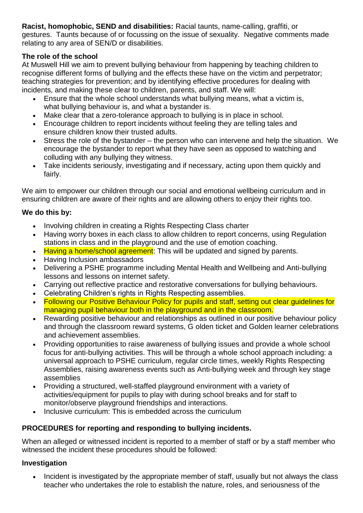**Racist, homophobic, SEND and disabilities:** Racial taunts, name-calling, graffiti, or gestures. Taunts because of or focussing on the issue of sexuality. Negative comments made relating to any area of SEN/D or disabilities.

### **The role of the school**

At Muswell Hill we aim to prevent bullying behaviour from happening by teaching children to recognise different forms of bullying and the effects these have on the victim and perpetrator; teaching strategies for prevention; and by identifying effective procedures for dealing with incidents, and making these clear to children, parents, and staff. We will:

- Ensure that the whole school understands what bullying means, what a victim is, what bullying behaviour is, and what a bystander is.
- Make clear that a zero-tolerance approach to bullying is in place in school.
- Encourage children to report incidents without feeling they are telling tales and ensure children know their trusted adults.
- Stress the role of the bystander the person who can intervene and help the situation. We encourage the bystander to report what they have seen as opposed to watching and colluding with any bullying they witness.
- Take incidents seriously, investigating and if necessary, acting upon them quickly and fairly.

We aim to empower our children through our social and emotional wellbeing curriculum and in ensuring children are aware of their rights and are allowing others to enjoy their rights too.

### **We do this by:**

- Involving children in creating a Rights Respecting Class charter
- Having worry boxes in each class to allow children to report concerns, using Regulation stations in class and in the playground and the use of emotion coaching.
- Having a home/school agreement: This will be updated and signed by parents.
- Having Inclusion ambassadors
- Delivering a PSHE programme including Mental Health and Wellbeing and Anti-bullying lessons and lessons on internet safety.
- Carrying out reflective practice and restorative conversations for bullying behaviours.
- Celebrating Children's rights in Rights Respecting assemblies.
- Following our Positive Behaviour Policy for pupils and staff, setting out clear quidelines for managing pupil behaviour both in the playground and in the classroom.
- Rewarding positive behaviour and relationships as outlined in our positive behaviour policy and through the classroom reward systems, G olden ticket and Golden learner celebrations and achievement assemblies.
- Providing opportunities to raise awareness of bullying issues and provide a whole school focus for anti-bullying activities. This will be through a whole school approach including: a universal approach to PSHE curriculum, regular circle times, weekly Rights Respecting Assemblies, raising awareness events such as Anti-bullying week and through key stage assemblies
- Providing a structured, well-staffed playground environment with a variety of activities/equipment for pupils to play with during school breaks and for staff to monitor/observe playground friendships and interactions.
- Inclusive curriculum: This is embedded across the curriculum

### **PROCEDURES for reporting and responding to bullying incidents.**

When an alleged or witnessed incident is reported to a member of staff or by a staff member who witnessed the incident these procedures should be followed:

### **Investigation**

 Incident is investigated by the appropriate member of staff, usually but not always the class teacher who undertakes the role to establish the nature, roles, and seriousness of the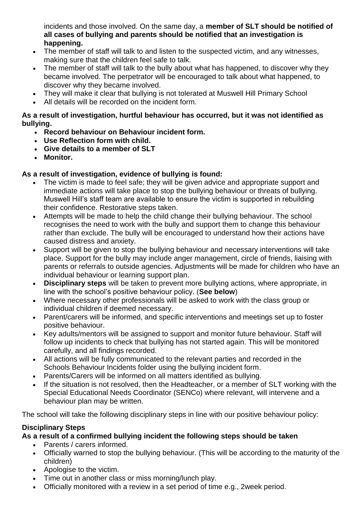incidents and those involved. On the same day, a **member of SLT should be notified of all cases of bullying and parents should be notified that an investigation is happening.**

- The member of staff will talk to and listen to the suspected victim, and any witnesses, making sure that the children feel safe to talk.
- The member of staff will talk to the bully about what has happened, to discover why they became involved. The perpetrator will be encouraged to talk about what happened, to discover why they became involved.
- They will make it clear that bullying is not tolerated at Muswell Hill Primary School
- All details will be recorded on the incident form.

### **As a result of investigation, hurtful behaviour has occurred, but it was not identified as bullying.**

- **Record behaviour on Behaviour incident form.**
- **Use Reflection form with child.**
- **Give details to a member of SLT**
- **Monitor.**

### **As a result of investigation, evidence of bullying is found:**

- The victim is made to feel safe; they will be given advice and appropriate support and immediate actions will take place to stop the bullying behaviour or threats of bullying. Muswell Hill's staff team are available to ensure the victim is supported in rebuilding their confidence. Restorative steps taken.
- Attempts will be made to help the child change their bullying behaviour. The school recognises the need to work with the bully and support them to change this behaviour rather than exclude. The bully will be encouraged to understand how their actions have caused distress and anxiety.
- Support will be given to stop the bullying behaviour and necessary interventions will take place. Support for the bully may include anger management, circle of friends, liaising with parents or referrals to outside agencies. Adjustments will be made for children who have an individual behaviour or learning support plan.
- **Disciplinary steps** will be taken to prevent more bullying actions, where appropriate, in line with the school's positive behaviour policy. (**See below**)
- Where necessary other professionals will be asked to work with the class group or individual children if deemed necessary.
- Parent/carers will be informed, and specific interventions and meetings set up to foster positive behaviour.
- Key adults/mentors will be assigned to support and monitor future behaviour. Staff will follow up incidents to check that bullying has not started again. This will be monitored carefully, and all findings recorded.
- All actions will be fully communicated to the relevant parties and recorded in the Schools Behaviour Incidents folder using the bullying incident form.
- Parents/Carers will be informed on all matters identified as bullying.
- If the situation is not resolved, then the Headteacher, or a member of SLT working with the Special Educational Needs Coordinator (SENCo) where relevant, will intervene and a behaviour plan may be written.

The school will take the following disciplinary steps in line with our positive behaviour policy:

## **Disciplinary Steps**

## **As a result of a confirmed bullying incident the following steps should be taken**

- Parents / carers informed.
- Officially warned to stop the bullying behaviour. (This will be according to the maturity of the children)
- Apologise to the victim.
- Time out in another class or miss morning/lunch play.
- Officially monitored with a review in a set period of time e.g., 2week period.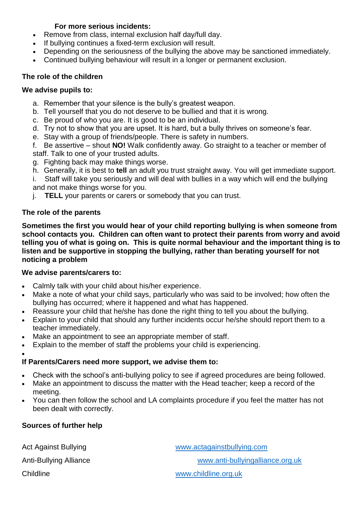### **For more serious incidents:**

- Remove from class, internal exclusion half day/full day.
- If bullying continues a fixed-term exclusion will result.
- Depending on the seriousness of the bullying the above may be sanctioned immediately.
- Continued bullying behaviour will result in a longer or permanent exclusion.

### **The role of the children**

### **We advise pupils to:**

- a. Remember that your silence is the bully's greatest weapon.
- b. Tell yourself that you do not deserve to be bullied and that it is wrong.
- c. Be proud of who you are. It is good to be an individual.
- d. Try not to show that you are upset. It is hard, but a bully thrives on someone's fear.
- e. Stay with a group of friends/people. There is safety in numbers.
- f. Be assertive shout **NO!** Walk confidently away. Go straight to a teacher or member of staff. Talk to one of your trusted adults.
- g. Fighting back may make things worse.
- h. Generally, it is best to **tell** an adult you trust straight away. You will get immediate support.
- i. Staff will take you seriously and will deal with bullies in a way which will end the bullying and not make things worse for you.
- j. **TELL** your parents or carers or somebody that you can trust.

### **The role of the parents**

**Sometimes the first you would hear of your child reporting bullying is when someone from school contacts you. Children can often want to protect their parents from worry and avoid telling you of what is going on. This is quite normal behaviour and the important thing is to listen and be supportive in stopping the bullying, rather than berating yourself for not noticing a problem**

### **We advise parents/carers to:**

- Calmly talk with your child about his/her experience.
- Make a note of what your child says, particularly who was said to be involved; how often the bullying has occurred; where it happened and what has happened.
- Reassure your child that he/she has done the right thing to tell you about the bullying.
- Explain to your child that should any further incidents occur he/she should report them to a teacher immediately.
- Make an appointment to see an appropriate member of staff.
- Explain to the member of staff the problems your child is experiencing.

#### $\bullet$

### **If Parents/Carers need more support, we advise them to:**

- Check with the school's anti-bullying policy to see if agreed procedures are being followed.
- Make an appointment to discuss the matter with the Head teacher; keep a record of the meeting.
- You can then follow the school and LA complaints procedure if you feel the matter has not been dealt with correctly.

### **Sources of further help**

| Act Against Bullying   | www.actagainstbullying.com       |
|------------------------|----------------------------------|
| Anti-Bullying Alliance | www.anti-bullyingalliance.org.uk |
| Childline              | www.childline.org.uk             |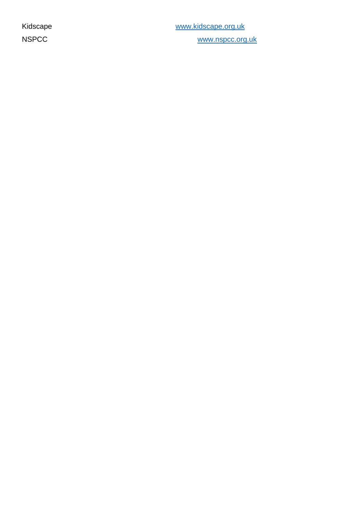Kidscape **WARDS** WARDS WARDS WARDS WARDS WARDS WARDS WARDS WARDS WARDS WARDS WARDS WARDS WARDS WARDS WARDS WARDS NSPCC [www.nspcc.org.uk](http://www.nspcc.org.uk/)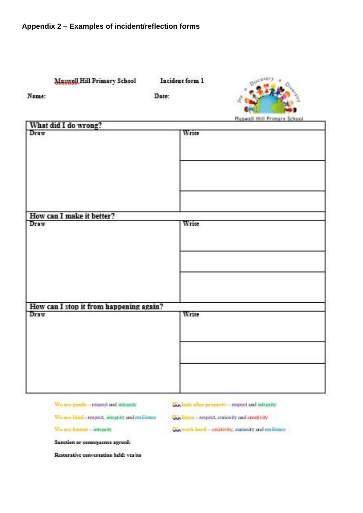| Muzwell Hill Primary School<br>Name:            | Incident form 1<br>Date: |                             |  |
|-------------------------------------------------|--------------------------|-----------------------------|--|
|                                                 |                          | Muswell Hill Primary School |  |
| What did I do wrong?                            |                          |                             |  |
| Draw                                            | Write                    |                             |  |
|                                                 |                          |                             |  |
| How can I make it better?                       |                          |                             |  |
| Draw                                            | Write                    |                             |  |
| How can I stop it from happening again?<br>Draw | Write                    |                             |  |
|                                                 |                          |                             |  |
|                                                 |                          |                             |  |

We are gentle - respect and integrity

when the topods - wraperly and integrity

We are hind - respect, integrity and resilience

We are itement - integerly

www.mail.com/window.com/window.com/window.com

ww.limin - respect, curiosity and creativity

Sanction or consequence agreed:

Restarative conversation held: vealno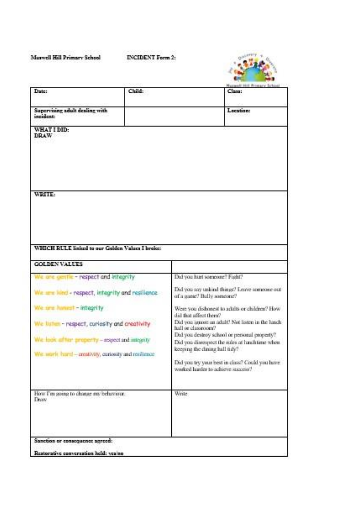#### Marwell Hill Primary School

**INCIDENT Form 2:** 



| Date:                                                                   |        | Harwell Hill Printery School                                                                                                    |
|-------------------------------------------------------------------------|--------|---------------------------------------------------------------------------------------------------------------------------------|
|                                                                         | Child: | Class:                                                                                                                          |
| Supervising adult dealing with<br>incident:                             |        | Location:                                                                                                                       |
| WHAT I DID:<br><b>DRAW</b>                                              |        |                                                                                                                                 |
| WRITE:                                                                  |        |                                                                                                                                 |
| WHICH RULE linked to our Galden Values I broke:<br><b>GOLDEN VALUES</b> |        |                                                                                                                                 |
| are gentle - respect and integrity                                      |        | Did you hart someone? Fight?                                                                                                    |
|                                                                         |        |                                                                                                                                 |
| arm lond - respect, integrity and resilience.                           |        | Did you say unkind things? Leave someone out<br>of a game? Bally someone?                                                       |
| are hamest - integrity                                                  |        | Were you dishonest to adults or children? How-<br>did that affect them?                                                         |
| sten - respect, curiosity and creativity                                |        | Did you ignore an adult? Not listen in the lanch<br>hall or classroom?                                                          |
| reperty - respect and integrity                                         |        | Did you destroy school or personal property?<br>Did you disrespect the rules at lunchtime when<br>keeping the dining hall tidy? |
| le work hard - creativity, curiosity and resilence                      |        | Did you try your best in class? Could you have<br>worked harder to achieve success?                                             |
|                                                                         |        | Write                                                                                                                           |
| How I'm going to change my behaviour.<br>Draw                           |        |                                                                                                                                 |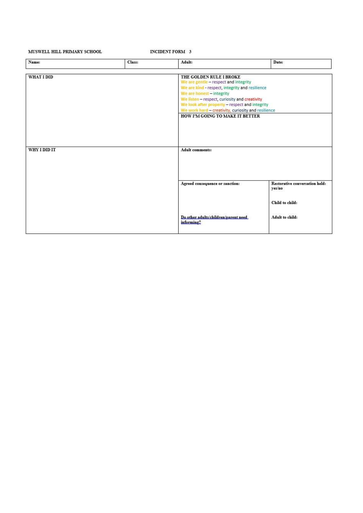#### MUSWELL HILL PRIMARY SCHOOL

**INCIDENT FORM 3** 

| Name:        | Class: | Adult:                                                                                                                           | Date:                                                                                                                                                                                                     |  |
|--------------|--------|----------------------------------------------------------------------------------------------------------------------------------|-----------------------------------------------------------------------------------------------------------------------------------------------------------------------------------------------------------|--|
| WHAT I DID   |        | THE GOLDEN RULE I BROKE<br>We are gentle - respect and integrity<br>We are honest - integrity<br>HOW I'M GOING TO MAKE IT BETTER | We are kind - respect, integrity and resilience<br>We listen - respect, curiosity and creativity<br>We look after property - respect and integrity<br>We work hard - creativity, curiosity and resilience |  |
|              |        |                                                                                                                                  |                                                                                                                                                                                                           |  |
| WHY I DID IT |        | Adult comments:                                                                                                                  |                                                                                                                                                                                                           |  |
|              |        | Agreed consequence or sanction:                                                                                                  | Restorative conversation held:<br>yes/no<br>Child to child:                                                                                                                                               |  |
|              |        | Do.other.adults/children/parent.used.<br>informing?                                                                              | Adult to child:                                                                                                                                                                                           |  |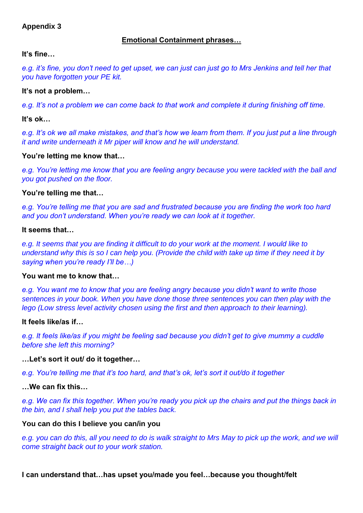### **Appendix 3**

### **Emotional Containment phrases…**

### **It's fine…**

*e.g. it's fine, you don't need to get upset, we can just can just go to Mrs Jenkins and tell her that you have forgotten your PE kit.* 

### **It's not a problem…**

*e.g. It's not a problem we can come back to that work and complete it during finishing off time.*

**It's ok…**

*e.g. It's ok we all make mistakes, and that's how we learn from them. If you just put a line through it and write underneath it Mr piper will know and he will understand.*

### **You're letting me know that…**

*e.g. You're letting me know that you are feeling angry because you were tackled with the ball and you got pushed on the floor.* 

### **You're telling me that…**

*e.g. You're telling me that you are sad and frustrated because you are finding the work too hard and you don't understand. When you're ready we can look at it together.*

#### **It seems that…**

*e.g. It seems that you are finding it difficult to do your work at the moment. I would like to understand why this is so I can help you. (Provide the child with take up time if they need it by saying when you're ready I'll be…)*

#### **You want me to know that…**

*e.g. You want me to know that you are feeling angry because you didn't want to write those sentences in your book. When you have done those three sentences you can then play with the lego (Low stress level activity chosen using the first and then approach to their learning).* 

#### **It feels like/as if…**

*e.g. It feels like/as if you might be feeling sad because you didn't get to give mummy a cuddle before she left this morning?*

### **…Let's sort it out/ do it together…**

*e.g. You're telling me that it's too hard, and that's ok, let's sort it out/do it together* 

**…We can fix this…**

*e.g. We can fix this together. When you're ready you pick up the chairs and put the things back in the bin, and I shall help you put the tables back.*

#### **You can do this I believe you can/in you**

*e.g. you can do this, all you need to do is walk straight to Mrs May to pick up the work, and we will come straight back out to your work station.*

### **I can understand that…has upset you/made you feel…because you thought/felt**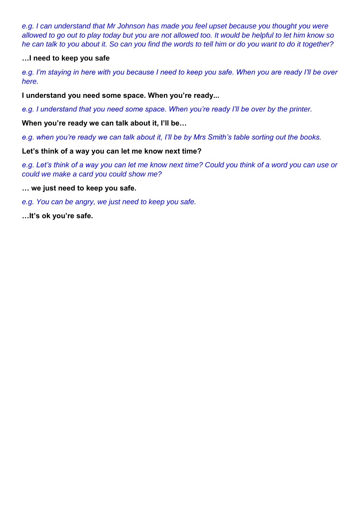*e.g. I can understand that Mr Johnson has made you feel upset because you thought you were allowed to go out to play today but you are not allowed too. It would be helpful to let him know so he can talk to you about it. So can you find the words to tell him or do you want to do it together?*

### **…I need to keep you safe**

*e.g. I'm staying in here with you because I need to keep you safe. When you are ready I'll be over here.* 

**I understand you need some space. When you're ready...** 

*e.g. I understand that you need some space. When you're ready I'll be over by the printer.* 

**When you're ready we can talk about it, I'll be…**

*e.g. when you're ready we can talk about it, I'll be by Mrs Smith's table sorting out the books.* 

**Let's think of a way you can let me know next time?**

*e.g. Let's think of a way you can let me know next time? Could you think of a word you can use or could we make a card you could show me?*

**… we just need to keep you safe.**

*e.g. You can be angry, we just need to keep you safe.*

**…It's ok you're safe.**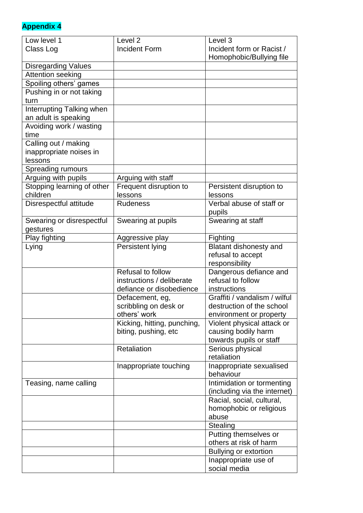# **Appendix 4**

| Low level 1                | Level <sub>2</sub>          | Level 3                       |
|----------------------------|-----------------------------|-------------------------------|
| Class Log                  | <b>Incident Form</b>        | Incident form or Racist /     |
|                            |                             | Homophobic/Bullying file      |
| <b>Disregarding Values</b> |                             |                               |
| Attention seeking          |                             |                               |
| Spoiling others' games     |                             |                               |
| Pushing in or not taking   |                             |                               |
| turn                       |                             |                               |
| Interrupting Talking when  |                             |                               |
| an adult is speaking       |                             |                               |
| Avoiding work / wasting    |                             |                               |
| time                       |                             |                               |
| Calling out / making       |                             |                               |
| inappropriate noises in    |                             |                               |
| lessons                    |                             |                               |
| Spreading rumours          |                             |                               |
| Arguing with pupils        | Arguing with staff          |                               |
| Stopping learning of other | Frequent disruption to      | Persistent disruption to      |
| children                   | lessons                     | lessons                       |
| Disrespectful attitude     | <b>Rudeness</b>             | Verbal abuse of staff or      |
|                            |                             | pupils                        |
| Swearing or disrespectful  | Swearing at pupils          | Swearing at staff             |
| gestures                   |                             |                               |
| Play fighting              | Aggressive play             | Fighting                      |
| Lying                      | Persistent lying            | Blatant dishonesty and        |
|                            |                             | refusal to accept             |
|                            |                             | responsibility                |
|                            | Refusal to follow           | Dangerous defiance and        |
|                            | instructions / deliberate   | refusal to follow             |
|                            | defiance or disobedience    | instructions                  |
|                            | Defacement, eg,             | Graffiti / vandalism / wilful |
|                            | scribbling on desk or       | destruction of the school     |
|                            | others' work                | environment or property       |
|                            | Kicking, hitting, punching, | Violent physical attack or    |
|                            | biting, pushing, etc        | causing bodily harm           |
|                            |                             | towards pupils or staff       |
|                            | Retaliation                 | Serious physical              |
|                            |                             | retaliation                   |
|                            | Inappropriate touching      | Inappropriate sexualised      |
|                            |                             | behaviour                     |
| Teasing, name calling      |                             | Intimidation or tormenting    |
|                            |                             | (including via the internet)  |
|                            |                             | Racial, social, cultural,     |
|                            |                             | homophobic or religious       |
|                            |                             | abuse                         |
|                            |                             | Stealing                      |
|                            |                             | Putting themselves or         |
|                            |                             | others at risk of harm        |
|                            |                             | <b>Bullying or extortion</b>  |
|                            |                             | Inappropriate use of          |
|                            |                             | social media                  |
|                            |                             |                               |